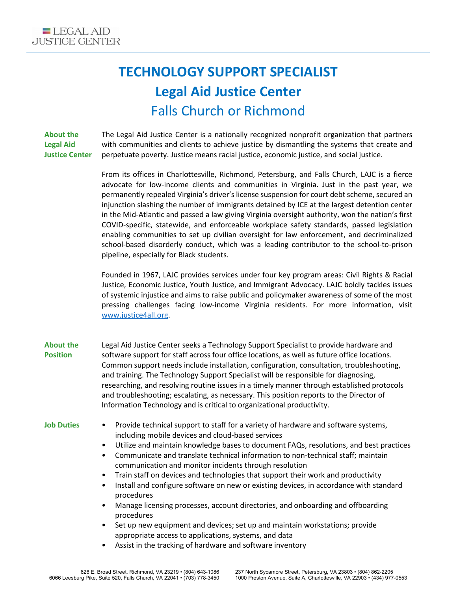## **TECHNOLOGY SUPPORT SPECIALIST Legal Aid Justice Center** Falls Church or Richmond

**About the Legal Aid Justice Center**

The Legal Aid Justice Center is a nationally recognized nonprofit organization that partners with communities and clients to achieve justice by dismantling the systems that create and perpetuate poverty. Justice means racial justice, economic justice, and social justice.

From its offices in Charlottesville, Richmond, Petersburg, and Falls Church, LAJC is a fierce advocate for low-income clients and communities in Virginia. Just in the past year, we permanently repealed Virginia's driver's license suspension for court debt scheme, secured an injunction slashing the number of immigrants detained by ICE at the largest detention center in the Mid-Atlantic and passed a law giving Virginia oversight authority, won the nation's first COVID-specific, statewide, and enforceable workplace safety standards, passed legislation enabling communities to set up civilian oversight for law enforcement, and decriminalized school-based disorderly conduct, which was a leading contributor to the school-to-prison pipeline, especially for Black students.

Founded in 1967, LAJC provides services under four key program areas: Civil Rights & Racial Justice, Economic Justice, Youth Justice, and Immigrant Advocacy. LAJC boldly tackles issues of systemic injustice and aims to raise public and policymaker awareness of some of the most pressing challenges facing low-income Virginia residents. For more information, visit [www.justice4all.org.](http://www.justice4all.org/)

- **About the Position** Legal Aid Justice Center seeks a Technology Support Specialist to provide hardware and software support for staff across four office locations, as well as future office locations. Common support needs include installation, configuration, consultation, troubleshooting, and training. The Technology Support Specialist will be responsible for diagnosing, researching, and resolving routine issues in a timely manner through established protocols and troubleshooting; escalating, as necessary. This position reports to the Director of Information Technology and is critical to organizational productivity.
- 
- **Job Duties** Provide technical support to staff for a variety of hardware and software systems, including mobile devices and cloud-based services
	- Utilize and maintain knowledge bases to document FAQs, resolutions, and best practices
	- Communicate and translate technical information to non-technical staff; maintain communication and monitor incidents through resolution
	- Train staff on devices and technologies that support their work and productivity
	- Install and configure software on new or existing devices, in accordance with standard procedures
	- Manage licensing processes, account directories, and onboarding and offboarding procedures
	- Set up new equipment and devices; set up and maintain workstations; provide appropriate access to applications, systems, and data
	- Assist in the tracking of hardware and software inventory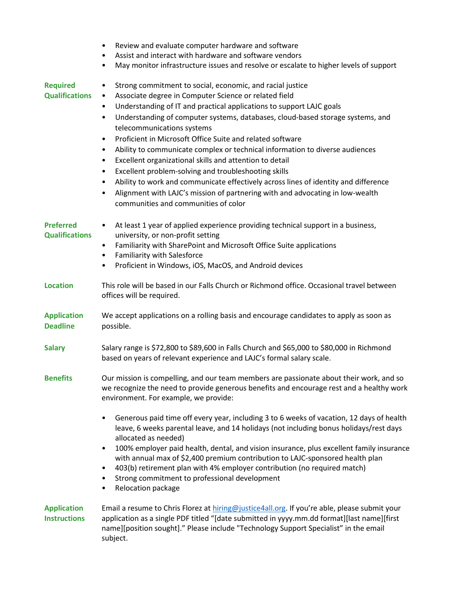|                                           | Review and evaluate computer hardware and software<br>$\bullet$<br>Assist and interact with hardware and software vendors<br>$\bullet$<br>May monitor infrastructure issues and resolve or escalate to higher levels of support<br>$\bullet$                                                                                                                                                                                                                                                                                                                                                                                                                                                                                                                                                                                                                                                                                 |
|-------------------------------------------|------------------------------------------------------------------------------------------------------------------------------------------------------------------------------------------------------------------------------------------------------------------------------------------------------------------------------------------------------------------------------------------------------------------------------------------------------------------------------------------------------------------------------------------------------------------------------------------------------------------------------------------------------------------------------------------------------------------------------------------------------------------------------------------------------------------------------------------------------------------------------------------------------------------------------|
| <b>Required</b><br><b>Qualifications</b>  | Strong commitment to social, economic, and racial justice<br>$\bullet$<br>Associate degree in Computer Science or related field<br>$\bullet$<br>Understanding of IT and practical applications to support LAJC goals<br>$\bullet$<br>Understanding of computer systems, databases, cloud-based storage systems, and<br>$\bullet$<br>telecommunications systems<br>Proficient in Microsoft Office Suite and related software<br>$\bullet$<br>Ability to communicate complex or technical information to diverse audiences<br>$\bullet$<br>Excellent organizational skills and attention to detail<br>$\bullet$<br>Excellent problem-solving and troubleshooting skills<br>$\bullet$<br>Ability to work and communicate effectively across lines of identity and difference<br>$\bullet$<br>Alignment with LAJC's mission of partnering with and advocating in low-wealth<br>$\bullet$<br>communities and communities of color |
| <b>Preferred</b><br><b>Qualifications</b> | At least 1 year of applied experience providing technical support in a business,<br>$\bullet$<br>university, or non-profit setting<br>Familiarity with SharePoint and Microsoft Office Suite applications<br>$\bullet$<br>Familiarity with Salesforce<br>$\bullet$<br>Proficient in Windows, iOS, MacOS, and Android devices<br>$\bullet$                                                                                                                                                                                                                                                                                                                                                                                                                                                                                                                                                                                    |
| <b>Location</b>                           | This role will be based in our Falls Church or Richmond office. Occasional travel between<br>offices will be required.                                                                                                                                                                                                                                                                                                                                                                                                                                                                                                                                                                                                                                                                                                                                                                                                       |
| <b>Application</b><br><b>Deadline</b>     | We accept applications on a rolling basis and encourage candidates to apply as soon as<br>possible.                                                                                                                                                                                                                                                                                                                                                                                                                                                                                                                                                                                                                                                                                                                                                                                                                          |
| <b>Salary</b>                             | Salary range is \$72,800 to \$89,600 in Falls Church and \$65,000 to \$80,000 in Richmond<br>based on years of relevant experience and LAJC's formal salary scale.                                                                                                                                                                                                                                                                                                                                                                                                                                                                                                                                                                                                                                                                                                                                                           |
| <b>Benefits</b>                           | Our mission is compelling, and our team members are passionate about their work, and so<br>we recognize the need to provide generous benefits and encourage rest and a healthy work<br>environment. For example, we provide:                                                                                                                                                                                                                                                                                                                                                                                                                                                                                                                                                                                                                                                                                                 |
|                                           | Generous paid time off every year, including 3 to 6 weeks of vacation, 12 days of health<br>$\bullet$<br>leave, 6 weeks parental leave, and 14 holidays (not including bonus holidays/rest days<br>allocated as needed)<br>100% employer paid health, dental, and vision insurance, plus excellent family insurance<br>$\bullet$<br>with annual max of \$2,400 premium contribution to LAJC-sponsored health plan<br>403(b) retirement plan with 4% employer contribution (no required match)<br>٠<br>Strong commitment to professional development<br>٠<br>Relocation package<br>$\bullet$                                                                                                                                                                                                                                                                                                                                  |
| <b>Application</b><br><b>Instructions</b> | Email a resume to Chris Florez at hiring@justice4all.org. If you're able, please submit your<br>application as a single PDF titled "[date submitted in yyyy.mm.dd format][last name][first<br>name][position sought]." Please include "Technology Support Specialist" in the email<br>subject.                                                                                                                                                                                                                                                                                                                                                                                                                                                                                                                                                                                                                               |